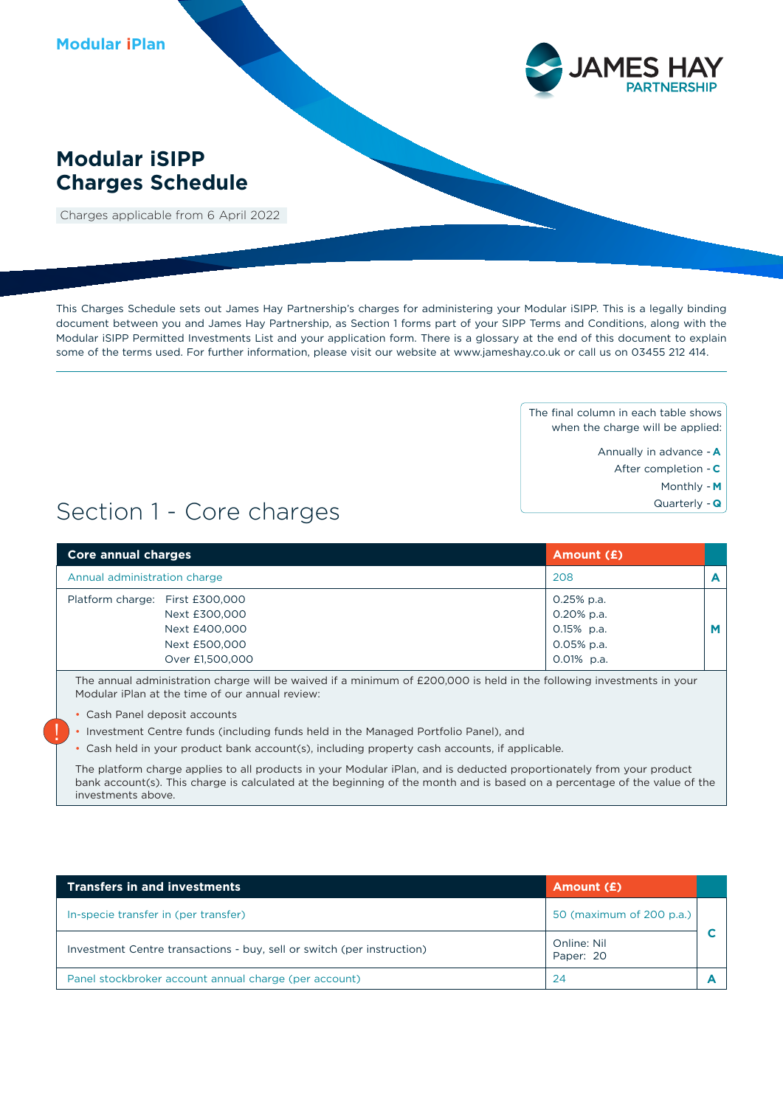

### **Modular iSIPP Charges Schedule**

Charges applicable from 6 April 2022

This Charges Schedule sets out James Hay Partnership's charges for administering your Modular iSIPP. This is a legally binding document between you and James Hay Partnership, as Section 1 forms part of your SIPP Terms and Conditions, along with the Modular iSIPP Permitted Investments List and your application form. There is a glossary at the end of this document to explain some of the terms used. For further information, please visit our website at www.jameshay.co.uk or call us on 03455 212 414.

> The final column in each table shows when the charge will be applied:

- Annually in advance **A**
	- After completion **C**
		- Monthly **M**
		- Quarterly **Q**

## Section 1 - Core charges

| <b>Core annual charges</b>      | Amount (£)    |   |
|---------------------------------|---------------|---|
| Annual administration charge    | 208           | A |
| Platform charge: First £300,000 | 0.25% p.a.    |   |
| Next £300,000                   | 0.20% p.a.    |   |
| Next £400,000                   | $0.15\%$ p.a. | M |
| Next £500,000                   | $0.05%$ p.a.  |   |
| Over £1,500,000                 | $0.01\%$ p.a. |   |

The annual administration charge will be waived if a minimum of £200,000 is held in the following investments in your Modular iPlan at the time of our annual review:

• Cash Panel deposit accounts

!

- Investment Centre funds (including funds held in the Managed Portfolio Panel), and
- Cash held in your product bank account(s), including property cash accounts, if applicable.

The platform charge applies to all products in your Modular iPlan, and is deducted proportionately from your product bank account(s). This charge is calculated at the beginning of the month and is based on a percentage of the value of the investments above.

| <b>Transfers in and investments</b>                                    | Amount (£)               |  |
|------------------------------------------------------------------------|--------------------------|--|
| In-specie transfer in (per transfer)                                   | 50 (maximum of 200 p.a.) |  |
| Investment Centre transactions - buy, sell or switch (per instruction) | Online: Nil<br>Paper: 20 |  |
| Panel stockbroker account annual charge (per account)                  | 24                       |  |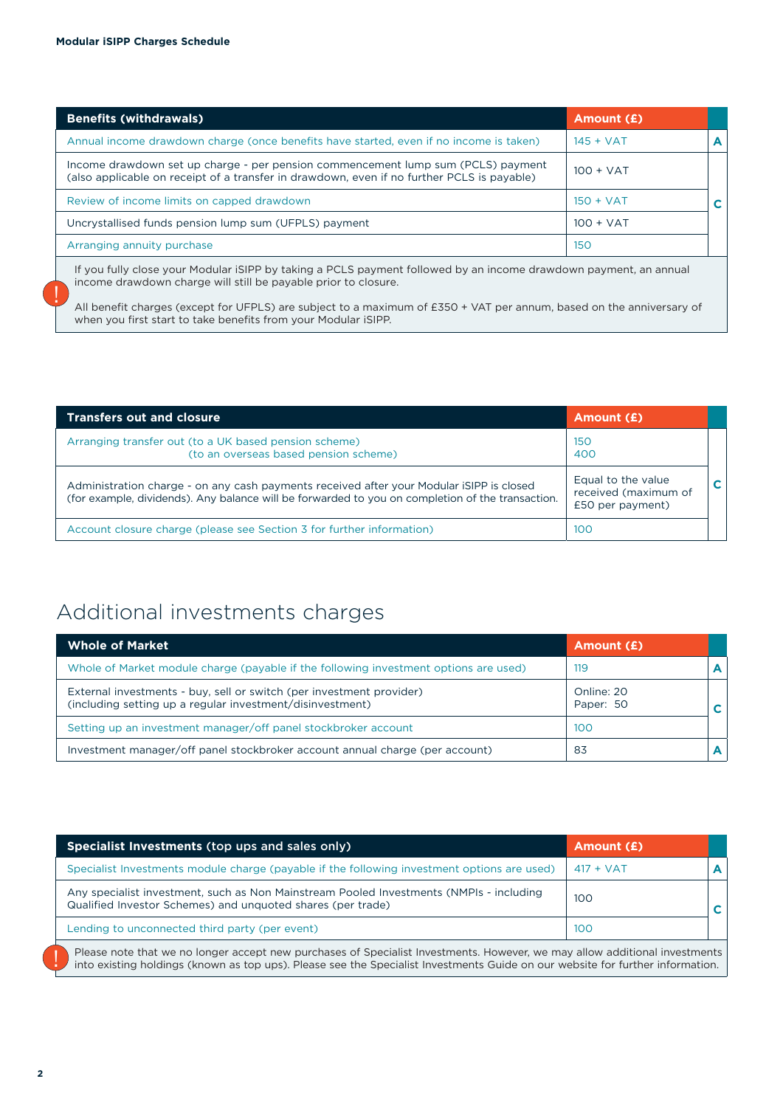!

| <b>Benefits (withdrawals)</b>                                                                                                                                                  | Amount (£)  |  |
|--------------------------------------------------------------------------------------------------------------------------------------------------------------------------------|-------------|--|
| Annual income drawdown charge (once benefits have started, even if no income is taken)                                                                                         | $145 + VAT$ |  |
| Income drawdown set up charge - per pension commencement lump sum (PCLS) payment<br>(also applicable on receipt of a transfer in drawdown, even if no further PCLS is payable) | $100 + VAT$ |  |
| Review of income limits on capped drawdown                                                                                                                                     | $150 + VAT$ |  |
| Uncrystallised funds pension lump sum (UFPLS) payment                                                                                                                          | $100 + VAT$ |  |
| Arranging annuity purchase                                                                                                                                                     | 150         |  |

If you fully close your Modular iSIPP by taking a PCLS payment followed by an income drawdown payment, an annual income drawdown charge will still be payable prior to closure.

All benefit charges (except for UFPLS) are subject to a maximum of £350 + VAT per annum, based on the anniversary of when you first start to take benefits from your Modular iSIPP.

| <b>Transfers out and closure</b>                                                                                                                                                             | Amount (£)                                                     |  |
|----------------------------------------------------------------------------------------------------------------------------------------------------------------------------------------------|----------------------------------------------------------------|--|
| Arranging transfer out (to a UK based pension scheme)<br>(to an overseas based pension scheme)                                                                                               | 150<br>400                                                     |  |
| Administration charge - on any cash payments received after your Modular iSIPP is closed<br>(for example, dividends). Any balance will be forwarded to you on completion of the transaction. | Equal to the value<br>received (maximum of<br>£50 per payment) |  |
| Account closure charge (please see Section 3 for further information)                                                                                                                        | 100                                                            |  |

### Additional investments charges

| <b>Whole of Market</b>                                                                                                            | Amount (£)              |  |
|-----------------------------------------------------------------------------------------------------------------------------------|-------------------------|--|
| Whole of Market module charge (payable if the following investment options are used)                                              | 119                     |  |
| External investments - buy, sell or switch (per investment provider)<br>(including setting up a regular investment/disinvestment) | Online: 20<br>Paper: 50 |  |
| Setting up an investment manager/off panel stockbroker account                                                                    | 100                     |  |
| Investment manager/off panel stockbroker account annual charge (per account)                                                      | 83                      |  |

| Specialist Investments (top ups and sales only)                                                                                                                                                                                                              | Amount (£)  |    |
|--------------------------------------------------------------------------------------------------------------------------------------------------------------------------------------------------------------------------------------------------------------|-------------|----|
| Specialist Investments module charge (payable if the following investment options are used)                                                                                                                                                                  | $417 + VAT$ |    |
| Any specialist investment, such as Non Mainstream Pooled Investments (NMPIs - including<br>Qualified Investor Schemes) and unquoted shares (per trade)                                                                                                       | 100         | C. |
| Lending to unconnected third party (per event)                                                                                                                                                                                                               | 100         |    |
| Please note that we no longer accept new purchases of Specialist Investments. However, we may allow additional investments<br>into existing holdings (known as top ups). Please see the Specialist Investments Guide on our website for further information. |             |    |

**2**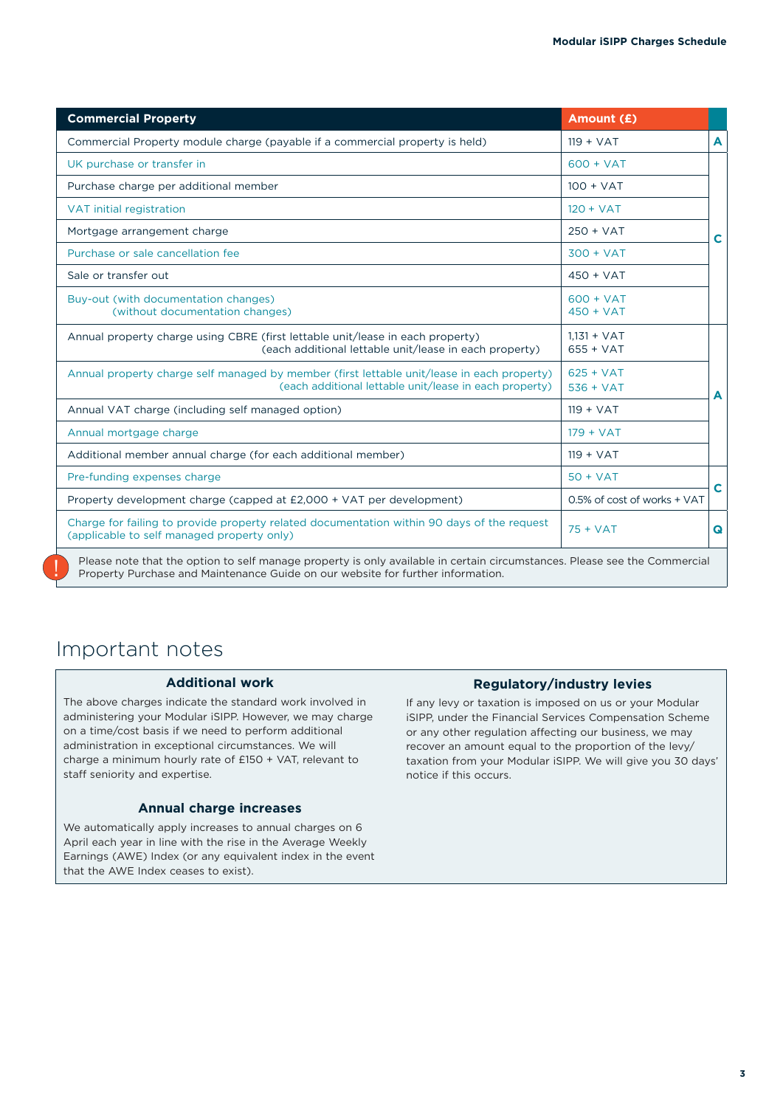| <b>Commercial Property</b>                                                                                                                           | Amount (£)                   |   |
|------------------------------------------------------------------------------------------------------------------------------------------------------|------------------------------|---|
| Commercial Property module charge (payable if a commercial property is held)                                                                         | $119 + VAT$                  | A |
| UK purchase or transfer in                                                                                                                           | $600 + VAT$                  |   |
| Purchase charge per additional member                                                                                                                | $100 + VAT$                  |   |
| VAT initial registration                                                                                                                             | $120 + VAT$                  |   |
| Mortgage arrangement charge                                                                                                                          | $250 + VAT$                  | C |
| Purchase or sale cancellation fee                                                                                                                    | $300 + VAT$                  |   |
| Sale or transfer out                                                                                                                                 | $450 + VAT$                  |   |
| Buy-out (with documentation changes)<br>(without documentation changes)                                                                              | $600 + VAT$<br>$450 + VAT$   |   |
| Annual property charge using CBRE (first lettable unit/lease in each property)<br>(each additional lettable unit/lease in each property)             | $1,131 + VAT$<br>$655 + VAT$ |   |
| Annual property charge self managed by member (first lettable unit/lease in each property)<br>(each additional lettable unit/lease in each property) | $625 + VAT$<br>$536 + VAT$   | A |
| Annual VAT charge (including self managed option)                                                                                                    | $119 + VAT$                  |   |
| Annual mortgage charge                                                                                                                               | $179 + VAT$                  |   |
| Additional member annual charge (for each additional member)                                                                                         | $119 + VAT$                  |   |
| Pre-funding expenses charge                                                                                                                          | $50 + VAT$                   |   |
| Property development charge (capped at £2,000 + VAT per development)                                                                                 | 0.5% of cost of works + VAT  | C |
| Charge for failing to provide property related documentation within 90 days of the request<br>(applicable to self managed property only)             | $75 + VAT$                   | Q |

### Important notes

#### **Additional work**

The above charges indicate the standard work involved in administering your Modular iSIPP. However, we may charge on a time/cost basis if we need to perform additional administration in exceptional circumstances. We will charge a minimum hourly rate of £150 + VAT, relevant to staff seniority and expertise.

#### **Annual charge increases**

We automatically apply increases to annual charges on 6 April each year in line with the rise in the Average Weekly Earnings (AWE) Index (or any equivalent index in the event that the AWE Index ceases to exist).

#### **Regulatory/industry levies**

If any levy or taxation is imposed on us or your Modular iSIPP, under the Financial Services Compensation Scheme or any other regulation affecting our business, we may recover an amount equal to the proportion of the levy/ taxation from your Modular iSIPP. We will give you 30 days' notice if this occurs.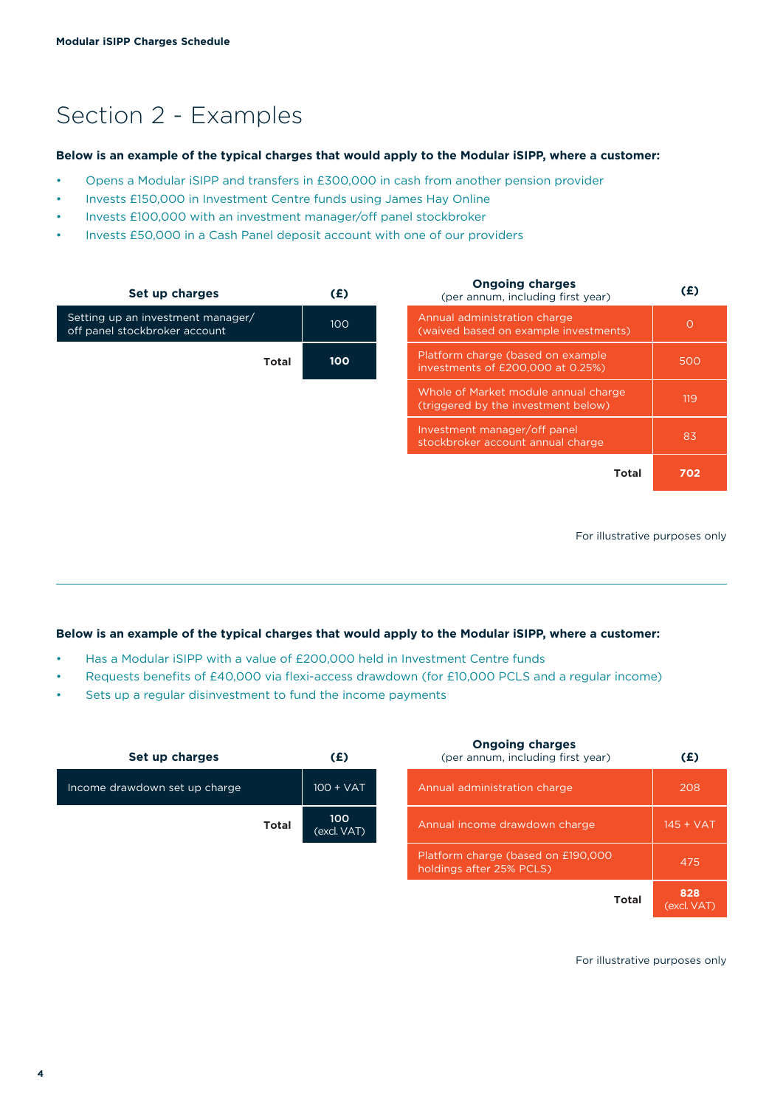# Section 2 - Examples

#### **Below is an example of the typical charges that would apply to the Modular iSIPP, where a customer:**

- Opens a Modular iSIPP and transfers in £300,000 in cash from another pension provider
- Invests £150,000 in Investment Centre funds using James Hay Online
- Invests £100,000 with an investment manager/off panel stockbroker
- Invests £50,000 in a Cash Panel deposit account with one of our providers

| Set up charges                                                     | (£) | <b>Ongoing charges</b><br>(per annum, including first year)                 | (E)     |
|--------------------------------------------------------------------|-----|-----------------------------------------------------------------------------|---------|
| Setting up an investment manager/<br>off panel stockbroker account | 100 | Annual administration charge<br>(waived based on example investments)       | $\circ$ |
| <b>Total</b>                                                       | 100 | Platform charge (based on example<br>investments of £200,000 at 0.25%)      | 500     |
|                                                                    |     | Whole of Market module annual charge<br>(triggered by the investment below) | 119     |
|                                                                    |     | Investment manager/off panel<br>stockbroker account annual charge           | 83      |
|                                                                    |     | <b>Total</b>                                                                | 702     |

For illustrative purposes only

#### **Below is an example of the typical charges that would apply to the Modular iSIPP, where a customer:**

- Has a Modular iSIPP with a value of £200,000 held in Investment Centre funds
- Requests benefits of £40,000 via flexi-access drawdown (for £10,000 PCLS and a regular income)
- Sets up a regular disinvestment to fund the income payments

| Set up charges                | (£)                | <b>Ongoing charges</b><br>(per annum, including first year)    | (E)                  |
|-------------------------------|--------------------|----------------------------------------------------------------|----------------------|
| Income drawdown set up charge | $100 + VAT$        | Annual administration charge                                   | 208                  |
| <b>Total</b>                  | 100<br>(excl. VAT) | Annual income drawdown charge                                  | $145 + VAT$          |
|                               |                    | Platform charge (based on £190,000<br>holdings after 25% PCLS) | 475                  |
|                               |                    | Total                                                          | 828<br>$Z = 1.11177$ |

For illustrative purposes only

(excl. VAT)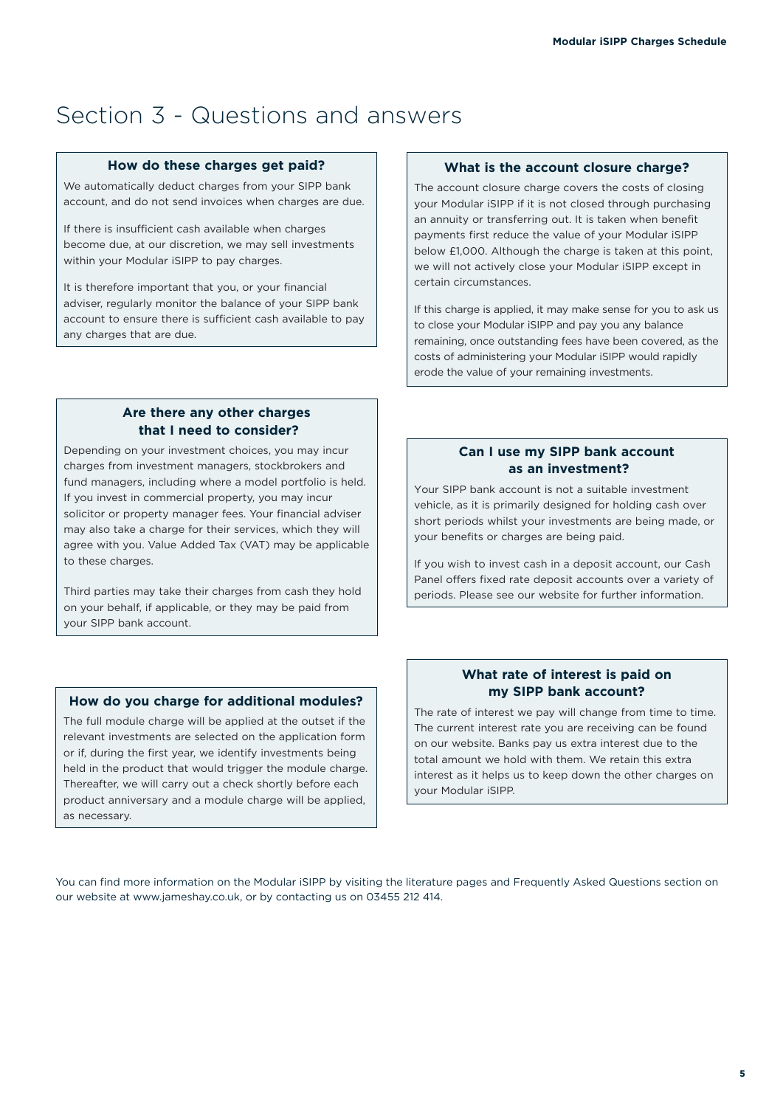## Section 3 - Questions and answers

#### **How do these charges get paid?**

We automatically deduct charges from your SIPP bank account, and do not send invoices when charges are due.

If there is insufficient cash available when charges become due, at our discretion, we may sell investments within your Modular iSIPP to pay charges.

It is therefore important that you, or your financial adviser, regularly monitor the balance of your SIPP bank account to ensure there is sufficient cash available to pay any charges that are due.

#### **What is the account closure charge?**

The account closure charge covers the costs of closing your Modular iSIPP if it is not closed through purchasing an annuity or transferring out. It is taken when benefit payments first reduce the value of your Modular iSIPP below £1,000. Although the charge is taken at this point, we will not actively close your Modular iSIPP except in certain circumstances.

If this charge is applied, it may make sense for you to ask us to close your Modular iSIPP and pay you any balance remaining, once outstanding fees have been covered, as the costs of administering your Modular iSIPP would rapidly erode the value of your remaining investments.

#### **Are there any other charges that I need to consider?**

Depending on your investment choices, you may incur charges from investment managers, stockbrokers and fund managers, including where a model portfolio is held. If you invest in commercial property, you may incur solicitor or property manager fees. Your financial adviser may also take a charge for their services, which they will agree with you. Value Added Tax (VAT) may be applicable to these charges.

Third parties may take their charges from cash they hold on your behalf, if applicable, or they may be paid from your SIPP bank account.

#### **How do you charge for additional modules?**

The full module charge will be applied at the outset if the relevant investments are selected on the application form or if, during the first year, we identify investments being held in the product that would trigger the module charge. Thereafter, we will carry out a check shortly before each product anniversary and a module charge will be applied, as necessary.

#### **Can I use my SIPP bank account as an investment?**

Your SIPP bank account is not a suitable investment vehicle, as it is primarily designed for holding cash over short periods whilst your investments are being made, or your benefits or charges are being paid.

If you wish to invest cash in a deposit account, our Cash Panel offers fixed rate deposit accounts over a variety of periods. Please see our website for further information.

#### **What rate of interest is paid on my SIPP bank account?**

The rate of interest we pay will change from time to time. The current interest rate you are receiving can be found on our website. Banks pay us extra interest due to the total amount we hold with them. We retain this extra interest as it helps us to keep down the other charges on your Modular iSIPP.

You can find more information on the Modular iSIPP by visiting the literature pages and Frequently Asked Questions section on our website at www.jameshay.co.uk, or by contacting us on 03455 212 414.